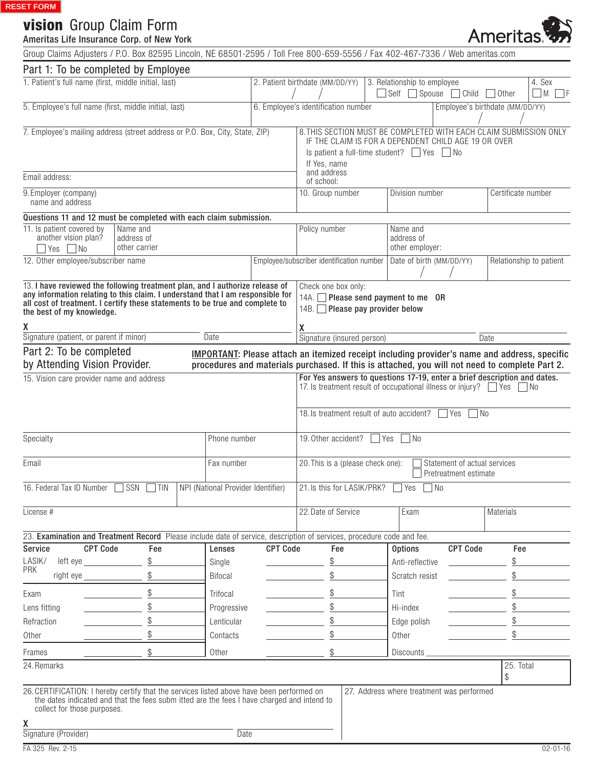# vision Group Claim Form

#### Ameritas Life Insurance Corp. of New York

Ameritas

Group Claims Adjusters / P.O. Box 82595 Lincoln, NE 68501-2595 / Toll Free 800-659-5556 / Fax 402-467-7336 / Web ameritas.com

| Part 1: To be completed by Employee                                                                                                                                                                                                                                                                                         |                                                                                                                               |                                    |                                     |                                                                                                                                                                                                       |  |                                                                               |                                           |                 |                         |
|-----------------------------------------------------------------------------------------------------------------------------------------------------------------------------------------------------------------------------------------------------------------------------------------------------------------------------|-------------------------------------------------------------------------------------------------------------------------------|------------------------------------|-------------------------------------|-------------------------------------------------------------------------------------------------------------------------------------------------------------------------------------------------------|--|-------------------------------------------------------------------------------|-------------------------------------------|-----------------|-------------------------|
| 1. Patient's full name (first, middle initial, last)                                                                                                                                                                                                                                                                        |                                                                                                                               |                                    | 2. Patient birthdate (MM/DD/YY)     |                                                                                                                                                                                                       |  | 3. Relationship to employee<br>Self<br>$\Box$ Spouse<br>$\Box$ Child<br>Other |                                           |                 | 4. Sex<br>l M           |
| 5. Employee's full name (first, middle initial, last)                                                                                                                                                                                                                                                                       |                                                                                                                               |                                    | 6. Employee's identification number |                                                                                                                                                                                                       |  |                                                                               | Employee's birthdate (MM/DD/YY)           |                 |                         |
| 7. Employee's mailing address (street address or P.O. Box, City, State, ZIP)                                                                                                                                                                                                                                                |                                                                                                                               |                                    |                                     | 8. THIS SECTION MUST BE COMPLETED WITH EACH CLAIM SUBMISSION ONLY<br>IF THE CLAIM IS FOR A DEPENDENT CHILD AGE 19 OR OVER<br>Is patient a full-time student? $\Box$ Yes<br>$\vert$ No<br>If Yes, name |  |                                                                               |                                           |                 |                         |
| Email address:                                                                                                                                                                                                                                                                                                              |                                                                                                                               |                                    |                                     | and address<br>of school:                                                                                                                                                                             |  |                                                                               |                                           |                 |                         |
| 9. Employer (company)<br>name and address                                                                                                                                                                                                                                                                                   |                                                                                                                               |                                    |                                     | 10. Group number                                                                                                                                                                                      |  | Division number<br>Certificate number                                         |                                           |                 |                         |
| Questions 11 and 12 must be completed with each claim submission.                                                                                                                                                                                                                                                           |                                                                                                                               |                                    |                                     |                                                                                                                                                                                                       |  |                                                                               |                                           |                 |                         |
| 11. Is patient covered by<br>Name and<br>another vision plan?<br>address of<br>other carrier<br>$\Box$ No<br>l Yes                                                                                                                                                                                                          |                                                                                                                               |                                    |                                     | Policy number                                                                                                                                                                                         |  | Name and<br>address of<br>other employer:                                     |                                           |                 |                         |
| 12. Other employee/subscriber name                                                                                                                                                                                                                                                                                          |                                                                                                                               |                                    |                                     | Employee/subscriber identification number                                                                                                                                                             |  | Date of birth (MM/DD/YY)                                                      |                                           |                 | Relationship to patient |
| 13. I have reviewed the following treatment plan, and I authorize release of<br>any information relating to this claim. I understand that I am responsible for<br>all cost of treatment. I certify these statements to be true and complete to<br>the best of my knowledge.<br>χ<br>Signature (patient, or parent if minor) | Check one box only:<br>14A. Please send payment to me OR<br>14B. Please pay provider below<br>χ<br>Signature (insured person) |                                    |                                     |                                                                                                                                                                                                       |  |                                                                               |                                           |                 |                         |
|                                                                                                                                                                                                                                                                                                                             |                                                                                                                               | Date                               |                                     |                                                                                                                                                                                                       |  |                                                                               |                                           | Date            |                         |
| Part 2: To be completed                                                                                                                                                                                                                                                                                                     |                                                                                                                               |                                    |                                     | <b>IMPORTANT:</b> Please attach an itemized receipt including provider's name and address, specific                                                                                                   |  |                                                                               |                                           |                 |                         |
| by Attending Vision Provider.                                                                                                                                                                                                                                                                                               |                                                                                                                               |                                    |                                     | procedures and materials purchased. If this is attached, you will not need to complete Part 2.                                                                                                        |  |                                                                               |                                           |                 |                         |
| 15. Vision care provider name and address                                                                                                                                                                                                                                                                                   |                                                                                                                               |                                    |                                     | For Yes answers to questions 17-19, enter a brief description and dates.<br>17. Is treatment result of occupational illness or injury? Thes                                                           |  |                                                                               |                                           |                 | I I No                  |
|                                                                                                                                                                                                                                                                                                                             |                                                                                                                               |                                    |                                     | 18. Is treatment result of auto accident?<br>Yes<br>l No                                                                                                                                              |  |                                                                               |                                           |                 |                         |
| Phone number<br>Specialty                                                                                                                                                                                                                                                                                                   |                                                                                                                               |                                    |                                     | 19. Other accident?<br>Yes<br>$\n  1$ No                                                                                                                                                              |  |                                                                               |                                           |                 |                         |
| Fax number<br>Email                                                                                                                                                                                                                                                                                                         |                                                                                                                               |                                    |                                     | 20. This is a (please check one):<br>Statement of actual services<br>Pretreatment estimate                                                                                                            |  |                                                                               |                                           |                 |                         |
| 16. Federal Tax ID Number                                                                                                                                                                                                                                                                                                   | SSN<br><b>TIN</b>                                                                                                             | NPI (National Provider Identifier) |                                     | 21. Is this for LASIK/PRK?                                                                                                                                                                            |  | Yes                                                                           | No                                        |                 |                         |
| License #                                                                                                                                                                                                                                                                                                                   |                                                                                                                               |                                    |                                     | 22. Date of Service                                                                                                                                                                                   |  | Exam                                                                          |                                           | Materials       |                         |
| 23. Examination and Treatment Record Please include date of service, description of services, procedure code and fee.                                                                                                                                                                                                       |                                                                                                                               |                                    |                                     |                                                                                                                                                                                                       |  |                                                                               |                                           |                 |                         |
| <b>CPT Code</b><br>Service                                                                                                                                                                                                                                                                                                  | Fee                                                                                                                           | Lenses                             | <b>CPT Code</b>                     | Fee                                                                                                                                                                                                   |  | <b>Options</b>                                                                | <b>CPT Code</b>                           | Fee             |                         |
| LASIK/<br><b>PRK</b>                                                                                                                                                                                                                                                                                                        | \$                                                                                                                            | Single                             |                                     | \$                                                                                                                                                                                                    |  | Anti-reflective                                                               |                                           | \$              |                         |
| right eye                                                                                                                                                                                                                                                                                                                   | \$                                                                                                                            | <b>Bifocal</b>                     |                                     | \$                                                                                                                                                                                                    |  | Scratch resist                                                                |                                           | \$              |                         |
| Exam                                                                                                                                                                                                                                                                                                                        | \$                                                                                                                            | Trifocal                           |                                     |                                                                                                                                                                                                       |  | Tint                                                                          |                                           | \$              |                         |
| Lens fitting                                                                                                                                                                                                                                                                                                                |                                                                                                                               | Progressive                        |                                     |                                                                                                                                                                                                       |  | Hi-index                                                                      |                                           | \$              |                         |
| Refraction                                                                                                                                                                                                                                                                                                                  |                                                                                                                               | Lenticular                         |                                     | \$                                                                                                                                                                                                    |  | Edge polish                                                                   |                                           | \$              |                         |
| Other                                                                                                                                                                                                                                                                                                                       |                                                                                                                               | Contacts                           |                                     |                                                                                                                                                                                                       |  | Other                                                                         |                                           |                 |                         |
| Frames                                                                                                                                                                                                                                                                                                                      |                                                                                                                               | Other                              |                                     | \$                                                                                                                                                                                                    |  | <b>Discounts</b>                                                              |                                           |                 |                         |
| 24. Remarks                                                                                                                                                                                                                                                                                                                 |                                                                                                                               |                                    |                                     |                                                                                                                                                                                                       |  |                                                                               |                                           | 25. Total<br>\$ |                         |
| 26. CERTIFICATION: I hereby certify that the services listed above have been performed on<br>collect for those purposes.                                                                                                                                                                                                    | the dates indicated and that the fees subm itted are the fees I have charged and intend to                                    |                                    |                                     |                                                                                                                                                                                                       |  |                                                                               | 27. Address where treatment was performed |                 |                         |
| χ                                                                                                                                                                                                                                                                                                                           |                                                                                                                               |                                    |                                     |                                                                                                                                                                                                       |  |                                                                               |                                           |                 |                         |
| Signature (Provider)                                                                                                                                                                                                                                                                                                        |                                                                                                                               | <b>Date</b>                        |                                     |                                                                                                                                                                                                       |  |                                                                               |                                           |                 |                         |
| FA 325 Rev. 2-15                                                                                                                                                                                                                                                                                                            |                                                                                                                               |                                    |                                     |                                                                                                                                                                                                       |  |                                                                               |                                           |                 | $02 - 01 - 16$          |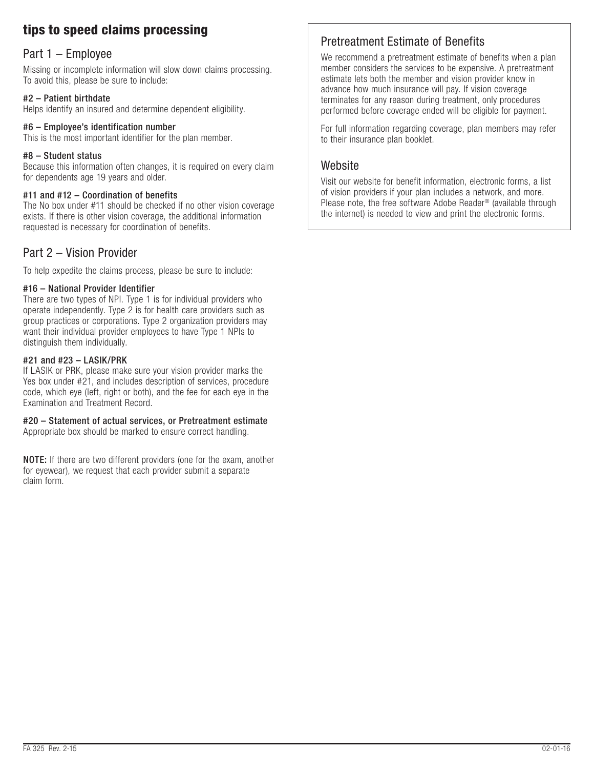# tips to speed claims processing

### Part 1 – Employee

Missing or incomplete information will slow down claims processing. To avoid this, please be sure to include:

### #2 – Patient birthdate

Helps identify an insured and determine dependent eligibility.

### #6 – Employee's identification number

This is the most important identifier for the plan member.

#### #8 – Student status

Because this information often changes, it is required on every claim for dependents age 19 years and older.

### #11 and #12 – Coordination of benefits

The No box under #11 should be checked if no other vision coverage exists. If there is other vision coverage, the additional information requested is necessary for coordination of benefits.

### Part 2 – Vision Provider

To help expedite the claims process, please be sure to include:

### #16 – National Provider Identifier

There are two types of NPI. Type 1 is for individual providers who operate independently. Type 2 is for health care providers such as group practices or corporations. Type 2 organization providers may want their individual provider employees to have Type 1 NPIs to distinguish them individually.

### #21 and #23 – LASIK/PRK

If LASIK or PRK, please make sure your vision provider marks the Yes box under #21, and includes description of services, procedure code, which eye (left, right or both), and the fee for each eye in the Examination and Treatment Record.

## #20 – Statement of actual services, or Pretreatment estimate

Appropriate box should be marked to ensure correct handling.

NOTE: If there are two different providers (one for the exam, another for eyewear), we request that each provider submit a separate claim form.

## Pretreatment Estimate of Benefits

We recommend a pretreatment estimate of benefits when a plan member considers the services to be expensive. A pretreatment estimate lets both the member and vision provider know in advance how much insurance will pay. If vision coverage terminates for any reason during treatment, only procedures performed before coverage ended will be eligible for payment.

For full information regarding coverage, plan members may refer to their insurance plan booklet.

### **Website**

Visit our website for benefit information, electronic forms, a list of vision providers if your plan includes a network, and more. Please note, the free software Adobe Reader® (available through the internet) is needed to view and print the electronic forms.